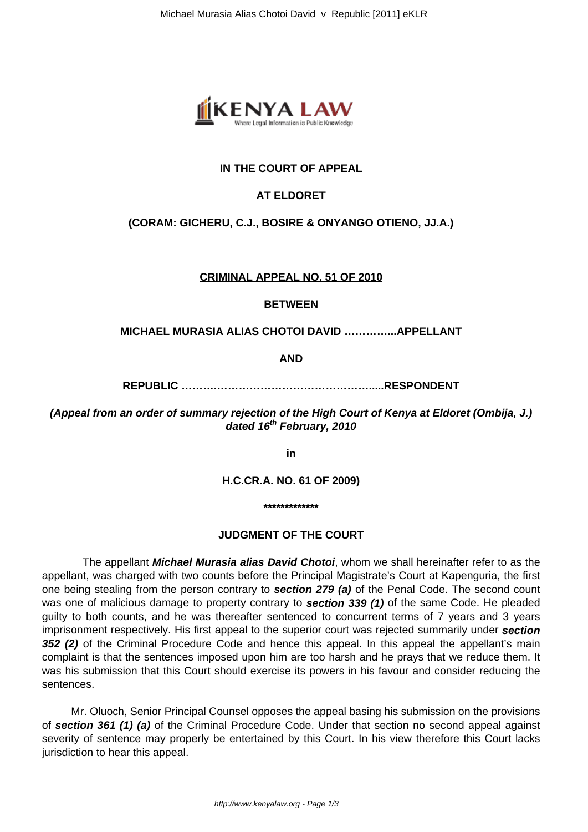

# **IN THE COURT OF APPEAL**

# **AT ELDORET**

## **(CORAM: GICHERU, C.J., BOSIRE & ONYANGO OTIENO, JJ.A.)**

**CRIMINAL APPEAL NO. 51 OF 2010**

#### **BETWEEN**

#### **MICHAEL MURASIA ALIAS CHOTOI DAVID …………...APPELLANT**

**AND**

**REPUBLIC ……….…………………………………….....RESPONDENT**

**(Appeal from an order of summary rejection of the High Court of Kenya at Eldoret (Ombija, J.) dated 16th February, 2010**

**in**

**H.C.CR.A. NO. 61 OF 2009)**

**\*\*\*\*\*\*\*\*\*\*\*\*\***

### **JUDGMENT OF THE COURT**

The appellant **Michael Murasia alias David Chotoi**, whom we shall hereinafter refer to as the appellant, was charged with two counts before the Principal Magistrate's Court at Kapenguria, the first one being stealing from the person contrary to **section 279 (a)** of the Penal Code. The second count was one of malicious damage to property contrary to **section 339 (1)** of the same Code. He pleaded guilty to both counts, and he was thereafter sentenced to concurrent terms of 7 years and 3 years imprisonment respectively. His first appeal to the superior court was rejected summarily under **section 352 (2)** of the Criminal Procedure Code and hence this appeal. In this appeal the appellant's main complaint is that the sentences imposed upon him are too harsh and he prays that we reduce them. It was his submission that this Court should exercise its powers in his favour and consider reducing the sentences.

 Mr. Oluoch, Senior Principal Counsel opposes the appeal basing his submission on the provisions of **section 361 (1) (a)** of the Criminal Procedure Code. Under that section no second appeal against severity of sentence may properly be entertained by this Court. In his view therefore this Court lacks jurisdiction to hear this appeal.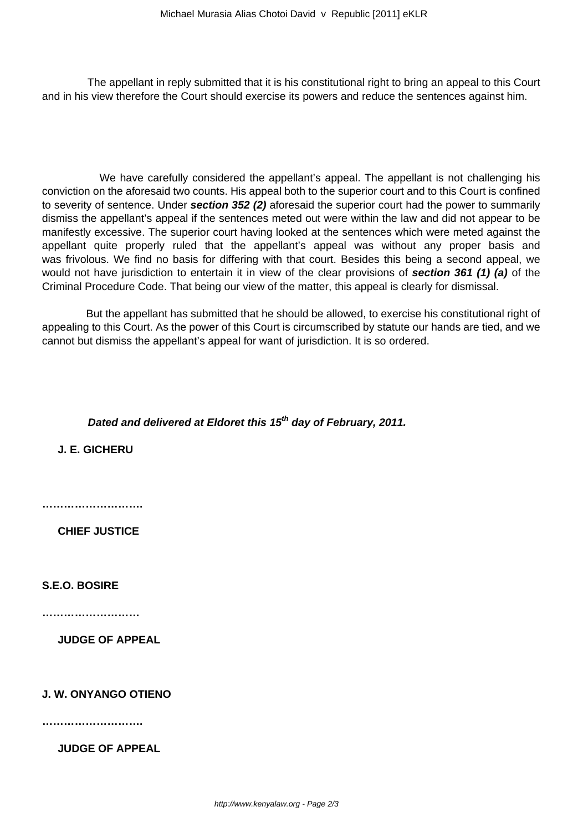The appellant in reply submitted that it is his constitutional right to bring an appeal to this Court and in his view therefore the Court should exercise its powers and reduce the sentences against him.

 We have carefully considered the appellant's appeal. The appellant is not challenging his conviction on the aforesaid two counts. His appeal both to the superior court and to this Court is confined to severity of sentence. Under **section 352 (2)** aforesaid the superior court had the power to summarily dismiss the appellant's appeal if the sentences meted out were within the law and did not appear to be manifestly excessive. The superior court having looked at the sentences which were meted against the appellant quite properly ruled that the appellant's appeal was without any proper basis and was frivolous. We find no basis for differing with that court. Besides this being a second appeal, we would not have jurisdiction to entertain it in view of the clear provisions of **section 361 (1) (a)** of the Criminal Procedure Code. That being our view of the matter, this appeal is clearly for dismissal.

 But the appellant has submitted that he should be allowed, to exercise his constitutional right of appealing to this Court. As the power of this Court is circumscribed by statute our hands are tied, and we cannot but dismiss the appellant's appeal for want of jurisdiction. It is so ordered.

# **Dated and delivered at Eldoret this 15th day of February, 2011.**

**J. E. GICHERU**

**……………………….**

**CHIEF JUSTICE** 

**S.E.O. BOSIRE**

**………………………**

**JUDGE OF APPEAL**

## **J. W. ONYANGO OTIENO**

**……………………….**

**JUDGE OF APPEAL**